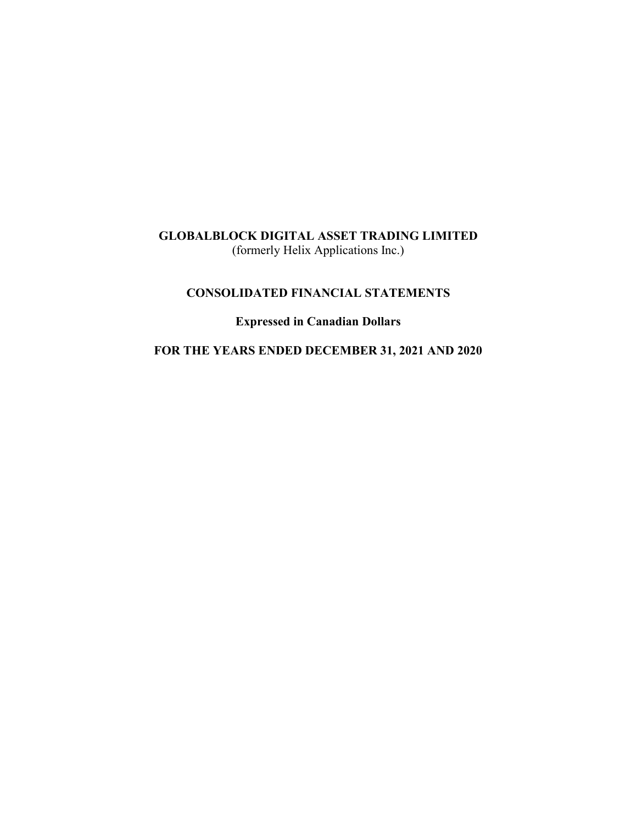# **GLOBALBLOCK DIGITAL ASSET TRADING LIMITED** (formerly Helix Applications Inc.)

# **CONSOLIDATED FINANCIAL STATEMENTS**

**Expressed in Canadian Dollars**

**FOR THE YEARS ENDED DECEMBER 31, 2021 AND 2020**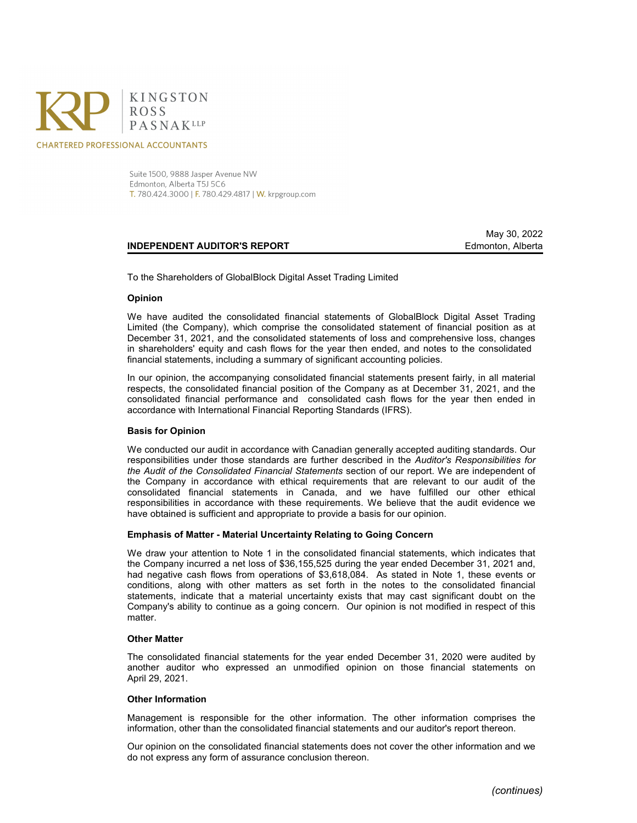

**CHARTERED PROFESSIONAL ACCOUNTANTS** 

Suite 1500, 9888 Jasper Avenue NW Edmonton, Alberta T5J 5C6 T. 780.424.3000 | F. 780.429.4817 | W. krpgroup.com

# **INDEPENDENT AUDITOR'S REPORT Edmonton, Alberta**

May 30, 2022

To the Shareholders of GlobalBlock Digital Asset Trading Limited

#### **Opinion**

We have audited the consolidated financial statements of GlobalBlock Digital Asset Trading Limited (the Company), which comprise the consolidated statement of financial position as at December 31, 2021, and the consolidated statements of loss and comprehensive loss, changes in shareholders' equity and cash flows for the year then ended, and notes to the consolidated financial statements, including a summary of significant accounting policies.

In our opinion, the accompanying consolidated financial statements present fairly, in all material respects, the consolidated financial position of the Company as at December 31, 2021, and the consolidated financial performance and consolidated cash flows for the year then ended in accordance with International Financial Reporting Standards (IFRS).

#### **Basis for Opinion**

We conducted our audit in accordance with Canadian generally accepted auditing standards. Our responsibilities under those standards are further described in the *Auditor's Responsibilities for the Audit of the Consolidated Financial Statements* section of our report. We are independent of the Company in accordance with ethical requirements that are relevant to our audit of the consolidated financial statements in Canada, and we have fulfilled our other ethical responsibilities in accordance with these requirements. We believe that the audit evidence we have obtained is sufficient and appropriate to provide a basis for our opinion.

#### **Emphasis of Matter - Material Uncertainty Relating to Going Concern**

We draw your attention to Note 1 in the consolidated financial statements, which indicates that the Company incurred a net loss of \$36,155,525 during the year ended December 31, 2021 and, had negative cash flows from operations of \$3,618,084. As stated in Note 1, these events or conditions, along with other matters as set forth in the notes to the consolidated financial statements, indicate that a material uncertainty exists that may cast significant doubt on the Company's ability to continue as a going concern. Our opinion is not modified in respect of this matter.

#### **Other Matter**

The consolidated financial statements for the year ended December 31, 2020 were audited by another auditor who expressed an unmodified opinion on those financial statements on April 29, 2021.

#### **Other Information**

Management is responsible for the other information. The other information comprises the information, other than the consolidated financial statements and our auditor's report thereon.

Our opinion on the consolidated financial statements does not cover the other information and we do not express any form of assurance conclusion thereon.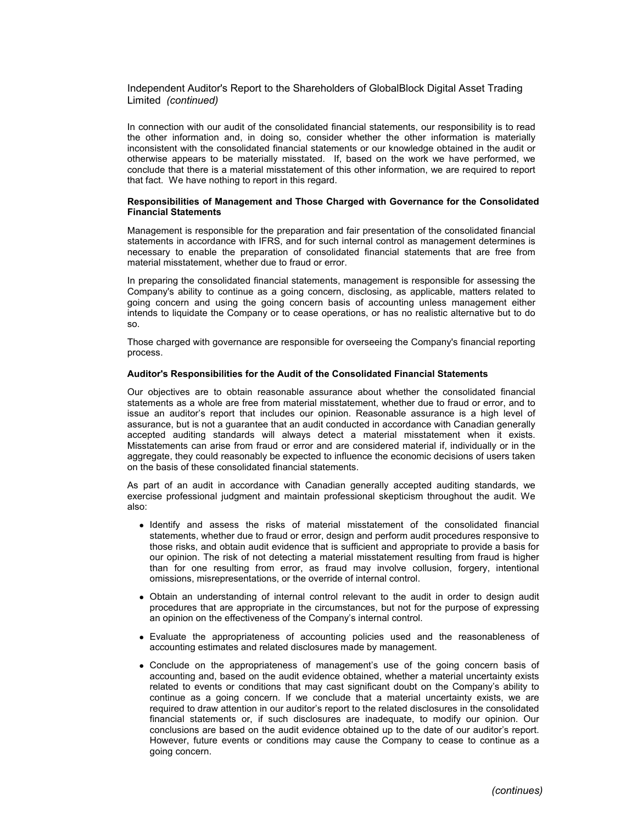Independent Auditor's Report to the Shareholders of GlobalBlock Digital Asset Trading Limited *(continued)*

In connection with our audit of the consolidated financial statements, our responsibility is to read the other information and, in doing so, consider whether the other information is materially inconsistent with the consolidated financial statements or our knowledge obtained in the audit or otherwise appears to be materially misstated. If, based on the work we have performed, we conclude that there is a material misstatement of this other information, we are required to report that fact. We have nothing to report in this regard.

#### **Responsibilities of Management and Those Charged with Governance for the Consolidated Financial Statements**

Management is responsible for the preparation and fair presentation of the consolidated financial statements in accordance with IFRS, and for such internal control as management determines is necessary to enable the preparation of consolidated financial statements that are free from material misstatement, whether due to fraud or error.

In preparing the consolidated financial statements, management is responsible for assessing the Company's ability to continue as a going concern, disclosing, as applicable, matters related to going concern and using the going concern basis of accounting unless management either intends to liquidate the Company or to cease operations, or has no realistic alternative but to do so.

Those charged with governance are responsible for overseeing the Company's financial reporting process.

#### **Auditor's Responsibilities for the Audit of the Consolidated Financial Statements**

Our objectives are to obtain reasonable assurance about whether the consolidated financial statements as a whole are free from material misstatement, whether due to fraud or error, and to issue an auditor's report that includes our opinion. Reasonable assurance is a high level of assurance, but is not a guarantee that an audit conducted in accordance with Canadian generally accepted auditing standards will always detect a material misstatement when it exists. Misstatements can arise from fraud or error and are considered material if, individually or in the aggregate, they could reasonably be expected to influence the economic decisions of users taken on the basis of these consolidated financial statements.

As part of an audit in accordance with Canadian generally accepted auditing standards, we exercise professional judgment and maintain professional skepticism throughout the audit. We also:

- Identify and assess the risks of material misstatement of the consolidated financial statements, whether due to fraud or error, design and perform audit procedures responsive to those risks, and obtain audit evidence that is sufficient and appropriate to provide a basis for our opinion. The risk of not detecting a material misstatement resulting from fraud is higher than for one resulting from error, as fraud may involve collusion, forgery, intentional omissions, misrepresentations, or the override of internal control.
- Obtain an understanding of internal control relevant to the audit in order to design audit procedures that are appropriate in the circumstances, but not for the purpose of expressing an opinion on the effectiveness of the Company's internal control.
- Evaluate the appropriateness of accounting policies used and the reasonableness of accounting estimates and related disclosures made by management.
- Conclude on the appropriateness of management's use of the going concern basis of accounting and, based on the audit evidence obtained, whether a material uncertainty exists related to events or conditions that may cast significant doubt on the Company's ability to continue as a going concern. If we conclude that a material uncertainty exists, we are required to draw attention in our auditor's report to the related disclosures in the consolidated financial statements or, if such disclosures are inadequate, to modify our opinion. Our conclusions are based on the audit evidence obtained up to the date of our auditor's report. However, future events or conditions may cause the Company to cease to continue as a going concern.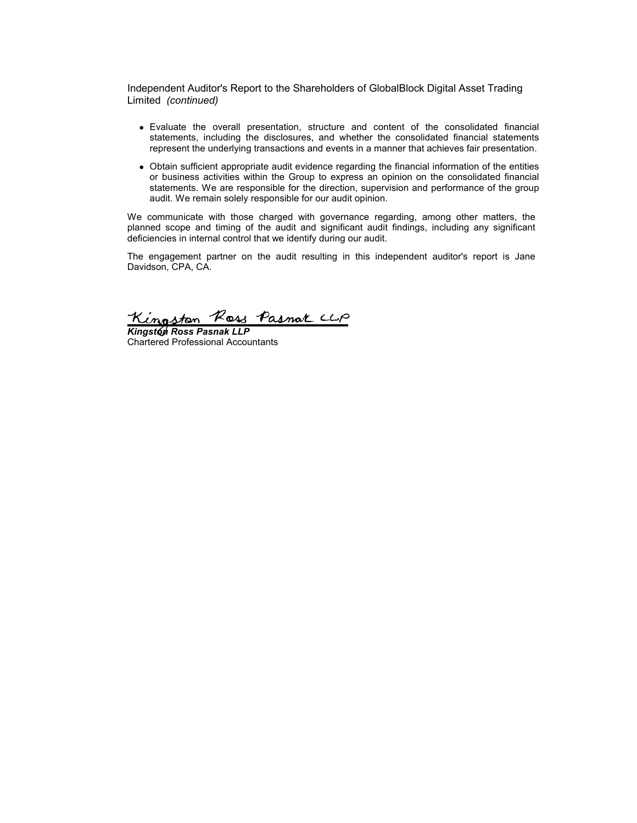Independent Auditor's Report to the Shareholders of GlobalBlock Digital Asset Trading Limited *(continued)*

- Evaluate the overall presentation, structure and content of the consolidated financial statements, including the disclosures, and whether the consolidated financial statements represent the underlying transactions and events in a manner that achieves fair presentation.
- Obtain sufficient appropriate audit evidence regarding the financial information of the entities or business activities within the Group to express an opinion on the consolidated financial statements. We are responsible for the direction, supervision and performance of the group audit. We remain solely responsible for our audit opinion.

We communicate with those charged with governance regarding, among other matters, the planned scope and timing of the audit and significant audit findings, including any significant deficiencies in internal control that we identify during our audit.

The engagement partner on the audit resulting in this independent auditor's report is Jane Davidson, CPA, CA.

*Kingston Ross Pasnak LLP*

Chartered Professional Accountants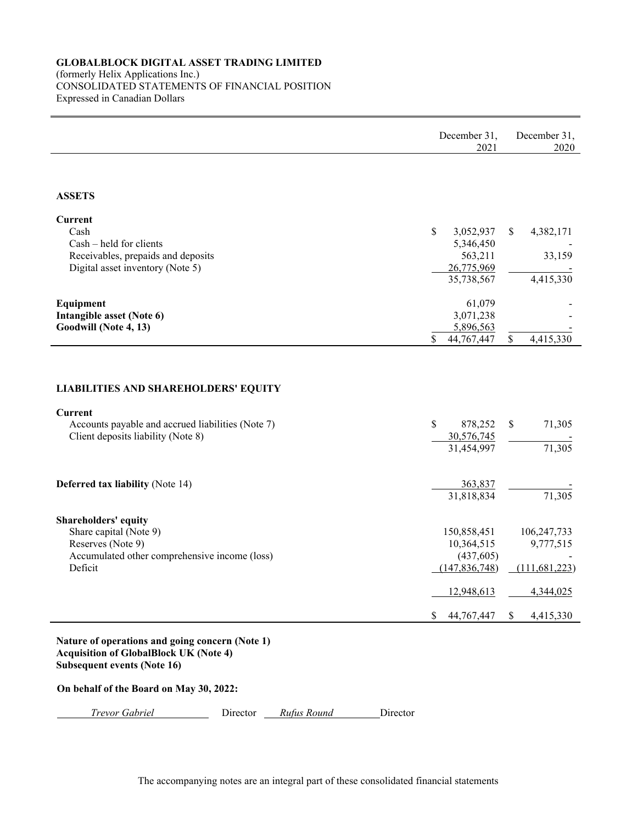(formerly Helix Applications Inc.)

# CONSOLIDATED STATEMENTS OF FINANCIAL POSITION

Expressed in Canadian Dollars

|                                                                                                                                                                                   | December 31,<br>2021                                      | December 31,<br>2020                      |
|-----------------------------------------------------------------------------------------------------------------------------------------------------------------------------------|-----------------------------------------------------------|-------------------------------------------|
| <b>ASSETS</b>                                                                                                                                                                     |                                                           |                                           |
| <b>Current</b>                                                                                                                                                                    |                                                           |                                           |
| Cash<br>Cash - held for clients                                                                                                                                                   | \$<br>3,052,937<br>5,346,450                              | 4,382,171<br>\$                           |
| Receivables, prepaids and deposits                                                                                                                                                | 563,211                                                   | 33,159                                    |
| Digital asset inventory (Note 5)                                                                                                                                                  | 26,775,969                                                |                                           |
|                                                                                                                                                                                   | 35,738,567                                                | 4,415,330                                 |
| Equipment                                                                                                                                                                         | 61,079                                                    |                                           |
| Intangible asset (Note 6)                                                                                                                                                         | 3,071,238                                                 |                                           |
| Goodwill (Note 4, 13)                                                                                                                                                             | 5,896,563<br>44,767,447<br>\$                             | \$<br>4,415,330                           |
| <b>LIABILITIES AND SHAREHOLDERS' EQUITY</b><br><b>Current</b><br>Accounts payable and accrued liabilities (Note 7)<br>Client deposits liability (Note 8)                          | \$<br>878,252 \$<br>30,576,745<br>31,454,997              | 71,305<br>71,305                          |
| <b>Deferred tax liability (Note 14)</b>                                                                                                                                           | 363,837<br>31,818,834                                     | 71,305                                    |
| Shareholders' equity<br>Share capital (Note 9)<br>Reserves (Note 9)<br>Accumulated other comprehensive income (loss)<br>Deficit                                                   | 150,858,451<br>10,364,515<br>(437,605)<br>(147, 836, 748) | 106,247,733<br>9,777,515<br>(111,681,223) |
|                                                                                                                                                                                   | 12,948,613                                                | 4,344,025                                 |
|                                                                                                                                                                                   | 44,767,447<br>\$                                          | \$<br>4,415,330                           |
| Nature of operations and going concern (Note 1)<br><b>Acquisition of GlobalBlock UK (Note 4)</b><br><b>Subsequent events (Note 16)</b><br>On behalf of the Board on May 30, 2022: |                                                           |                                           |

*Trevor Gabriel* **Director** *Rufus Round* **Director**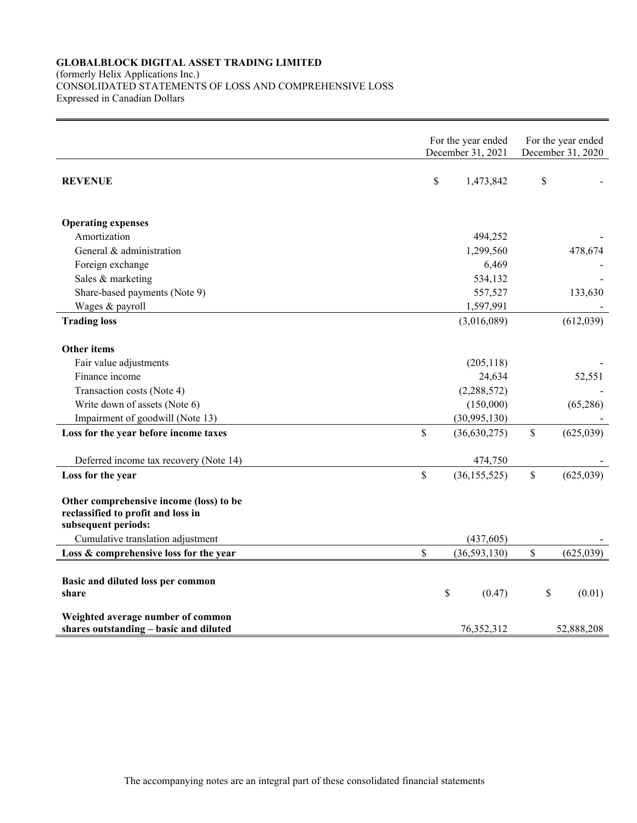(formerly Helix Applications Inc.) CONSOLIDATED STATEMENTS OF LOSS AND COMPREHENSIVE LOSS Expressed in Canadian Dollars

|                                                                                                      | For the year ended<br>December 31, 2021 | For the year ended<br>December 31, 2020 |
|------------------------------------------------------------------------------------------------------|-----------------------------------------|-----------------------------------------|
| <b>REVENUE</b>                                                                                       | \$<br>1,473,842                         | \$                                      |
| <b>Operating expenses</b>                                                                            |                                         |                                         |
| Amortization                                                                                         | 494,252                                 |                                         |
| General & administration                                                                             | 1,299,560                               | 478,674                                 |
| Foreign exchange                                                                                     | 6,469                                   |                                         |
| Sales & marketing                                                                                    | 534,132                                 |                                         |
| Share-based payments (Note 9)                                                                        | 557,527                                 | 133,630                                 |
| Wages & payroll                                                                                      | 1,597,991                               |                                         |
| <b>Trading loss</b>                                                                                  | (3,016,089)                             | (612, 039)                              |
| Other items<br>Fair value adjustments                                                                | (205, 118)                              |                                         |
| Finance income                                                                                       | 24,634                                  | 52,551                                  |
| Transaction costs (Note 4)                                                                           | (2, 288, 572)                           |                                         |
| Write down of assets (Note 6)                                                                        | (150,000)                               | (65, 286)                               |
| Impairment of goodwill (Note 13)                                                                     | (30,995,130)                            |                                         |
| Loss for the year before income taxes                                                                | \$<br>(36,630,275)                      | \$<br>(625, 039)                        |
| Deferred income tax recovery (Note 14)                                                               | 474,750                                 |                                         |
| Loss for the year                                                                                    | \$<br>(36, 155, 525)                    | \$<br>(625, 039)                        |
| Other comprehensive income (loss) to be<br>reclassified to profit and loss in<br>subsequent periods: |                                         |                                         |
| Cumulative translation adjustment                                                                    | (437, 605)                              |                                         |
| Loss & comprehensive loss for the year                                                               | \$<br>(36, 593, 130)                    | \$<br>(625, 039)                        |
| Basic and diluted loss per common                                                                    |                                         |                                         |
| share                                                                                                | \$<br>(0.47)                            | \$<br>(0.01)                            |
| Weighted average number of common                                                                    |                                         |                                         |
| shares outstanding - basic and diluted                                                               | 76,352,312                              | 52,888,208                              |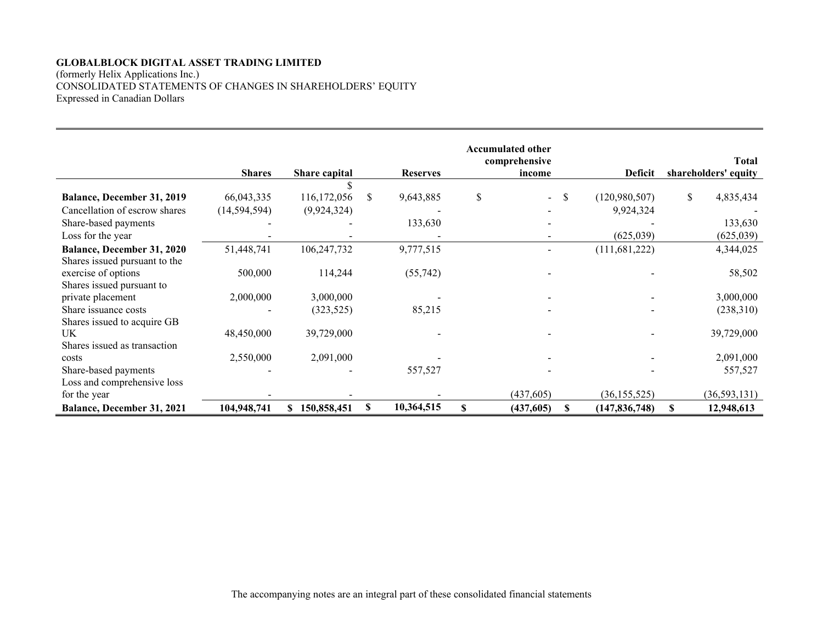(formerly Helix Applications Inc.) CONSOLIDATED STATEMENTS OF CHANGES IN SHAREHOLDERS' EQUITY Expressed in Canadian Dollars

|                                   |                |               |    |                 | <b>Accumulated other</b><br>comprehensive |                 | Total                |
|-----------------------------------|----------------|---------------|----|-----------------|-------------------------------------------|-----------------|----------------------|
|                                   | <b>Shares</b>  | Share capital |    | <b>Reserves</b> | income                                    | Deficit         | shareholders' equity |
|                                   |                |               |    |                 |                                           |                 |                      |
| <b>Balance, December 31, 2019</b> | 66,043,335     | 116,172,056   | S. | 9,643,885       | \$<br>-S<br>$\sim$                        | (120, 980, 507) | \$<br>4,835,434      |
| Cancellation of escrow shares     | (14, 594, 594) | (9, 924, 324) |    |                 |                                           | 9,924,324       |                      |
| Share-based payments              |                |               |    | 133,630         |                                           |                 | 133,630              |
| Loss for the year                 |                |               |    |                 |                                           | (625, 039)      | (625, 039)           |
| Balance, December 31, 2020        | 51,448,741     | 106,247,732   |    | 9,777,515       |                                           | (111, 681, 222) | 4,344,025            |
| Shares issued pursuant to the     |                |               |    |                 |                                           |                 |                      |
| exercise of options               | 500,000        | 114,244       |    | (55, 742)       |                                           |                 | 58,502               |
| Shares issued pursuant to         |                |               |    |                 |                                           |                 |                      |
| private placement                 | 2,000,000      | 3,000,000     |    |                 |                                           |                 | 3,000,000            |
| Share issuance costs              |                | (323, 525)    |    | 85,215          |                                           |                 | (238,310)            |
| Shares issued to acquire GB       |                |               |    |                 |                                           |                 |                      |
| UK.                               | 48,450,000     | 39,729,000    |    |                 |                                           |                 | 39,729,000           |
| Shares issued as transaction      |                |               |    |                 |                                           |                 |                      |
| costs                             | 2,550,000      | 2,091,000     |    |                 |                                           |                 | 2,091,000            |
| Share-based payments              |                |               |    | 557,527         |                                           |                 | 557,527              |
| Loss and comprehensive loss       |                |               |    |                 |                                           |                 |                      |
| for the year                      |                |               |    |                 | (437,605)                                 | (36, 155, 525)  | (36, 593, 131)       |
| Balance, December 31, 2021        | 104,948,741    | 150,858,451   | S. | 10,364,515      | (437,605)                                 | (147, 836, 748) | 12,948,613           |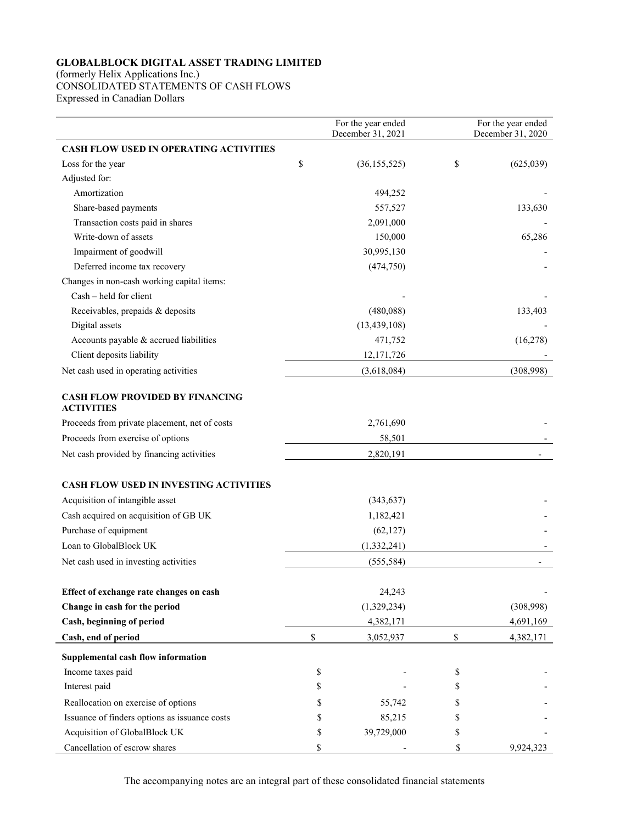(formerly Helix Applications Inc.) CONSOLIDATED STATEMENTS OF CASH FLOWS Expressed in Canadian Dollars

|                                                             | For the year ended<br>December 31, 2021 | For the year ended<br>December 31, 2020 |
|-------------------------------------------------------------|-----------------------------------------|-----------------------------------------|
| <b>CASH FLOW USED IN OPERATING ACTIVITIES</b>               |                                         |                                         |
| Loss for the year                                           | \$<br>(36, 155, 525)                    | \$<br>(625,039)                         |
| Adjusted for:                                               |                                         |                                         |
| Amortization                                                | 494,252                                 |                                         |
| Share-based payments                                        | 557,527                                 | 133,630                                 |
| Transaction costs paid in shares                            | 2,091,000                               |                                         |
| Write-down of assets                                        | 150,000                                 | 65,286                                  |
| Impairment of goodwill                                      | 30,995,130                              |                                         |
| Deferred income tax recovery                                | (474, 750)                              |                                         |
| Changes in non-cash working capital items:                  |                                         |                                         |
| Cash - held for client                                      |                                         |                                         |
| Receivables, prepaids & deposits                            | (480,088)                               | 133,403                                 |
| Digital assets                                              | (13, 439, 108)                          |                                         |
| Accounts payable & accrued liabilities                      | 471,752                                 | (16,278)                                |
| Client deposits liability                                   | 12,171,726                              |                                         |
| Net cash used in operating activities                       | (3,618,084)                             | (308,998)                               |
| <b>CASH FLOW PROVIDED BY FINANCING</b><br><b>ACTIVITIES</b> |                                         |                                         |
| Proceeds from private placement, net of costs               | 2,761,690                               |                                         |
| Proceeds from exercise of options                           | 58,501                                  |                                         |
| Net cash provided by financing activities                   | 2,820,191                               |                                         |
| CASH FLOW USED IN INVESTING ACTIVITIES                      |                                         |                                         |
| Acquisition of intangible asset                             | (343, 637)                              |                                         |
| Cash acquired on acquisition of GB UK                       | 1,182,421                               |                                         |
| Purchase of equipment                                       | (62, 127)                               |                                         |
| Loan to GlobalBlock UK                                      | (1, 332, 241)                           |                                         |
| Net cash used in investing activities                       | (555, 584)                              |                                         |
|                                                             |                                         |                                         |
| Effect of exchange rate changes on cash                     | 24,243                                  |                                         |
| Change in cash for the period                               | (1,329,234)                             | (308,998)                               |
| Cash, beginning of period                                   | 4,382,171                               | 4,691,169                               |
| Cash, end of period                                         | \$<br>3,052,937                         | \$<br>4,382,171                         |
| <b>Supplemental cash flow information</b>                   |                                         |                                         |
| Income taxes paid                                           | \$                                      | \$                                      |
| Interest paid                                               | \$                                      | \$                                      |
| Reallocation on exercise of options                         | \$<br>55,742                            |                                         |
| Issuance of finders options as issuance costs               | \$<br>85,215                            | \$                                      |
| Acquisition of GlobalBlock UK                               | \$<br>39,729,000                        | \$                                      |
| Cancellation of escrow shares                               | \$                                      | \$<br>9,924,323                         |

The accompanying notes are an integral part of these consolidated financial statements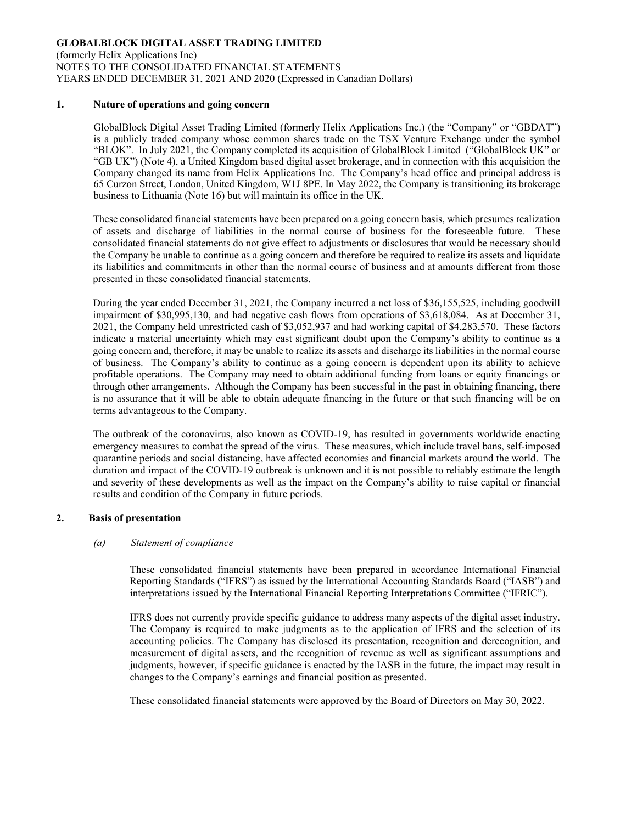## **1. Nature of operations and going concern**

GlobalBlock Digital Asset Trading Limited (formerly Helix Applications Inc.) (the "Company" or "GBDAT") is a publicly traded company whose common shares trade on the TSX Venture Exchange under the symbol "BLOK". In July 2021, the Company completed its acquisition of GlobalBlock Limited ("GlobalBlock UK" or "GB UK") (Note 4), a United Kingdom based digital asset brokerage, and in connection with this acquisition the Company changed its name from Helix Applications Inc. The Company's head office and principal address is 65 Curzon Street, London, United Kingdom, W1J 8PE. In May 2022, the Company is transitioning its brokerage business to Lithuania (Note 16) but will maintain its office in the UK.

These consolidated financial statements have been prepared on a going concern basis, which presumes realization of assets and discharge of liabilities in the normal course of business for the foreseeable future. These consolidated financial statements do not give effect to adjustments or disclosures that would be necessary should the Company be unable to continue as a going concern and therefore be required to realize its assets and liquidate its liabilities and commitments in other than the normal course of business and at amounts different from those presented in these consolidated financial statements.

During the year ended December 31, 2021, the Company incurred a net loss of \$36,155,525, including goodwill impairment of \$30,995,130, and had negative cash flows from operations of \$3,618,084. As at December 31, 2021, the Company held unrestricted cash of \$3,052,937 and had working capital of \$4,283,570. These factors indicate a material uncertainty which may cast significant doubt upon the Company's ability to continue as a going concern and, therefore, it may be unable to realize its assets and discharge its liabilities in the normal course of business. The Company's ability to continue as a going concern is dependent upon its ability to achieve profitable operations. The Company may need to obtain additional funding from loans or equity financings or through other arrangements. Although the Company has been successful in the past in obtaining financing, there is no assurance that it will be able to obtain adequate financing in the future or that such financing will be on terms advantageous to the Company.

The outbreak of the coronavirus, also known as COVID-19, has resulted in governments worldwide enacting emergency measures to combat the spread of the virus. These measures, which include travel bans, self-imposed quarantine periods and social distancing, have affected economies and financial markets around the world. The duration and impact of the COVID-19 outbreak is unknown and it is not possible to reliably estimate the length and severity of these developments as well as the impact on the Company's ability to raise capital or financial results and condition of the Company in future periods.

### **2. Basis of presentation**

### *(a) Statement of compliance*

These consolidated financial statements have been prepared in accordance International Financial Reporting Standards ("IFRS") as issued by the International Accounting Standards Board ("IASB") and interpretations issued by the International Financial Reporting Interpretations Committee ("IFRIC").

IFRS does not currently provide specific guidance to address many aspects of the digital asset industry. The Company is required to make judgments as to the application of IFRS and the selection of its accounting policies. The Company has disclosed its presentation, recognition and derecognition, and measurement of digital assets, and the recognition of revenue as well as significant assumptions and judgments, however, if specific guidance is enacted by the IASB in the future, the impact may result in changes to the Company's earnings and financial position as presented.

These consolidated financial statements were approved by the Board of Directors on May 30, 2022.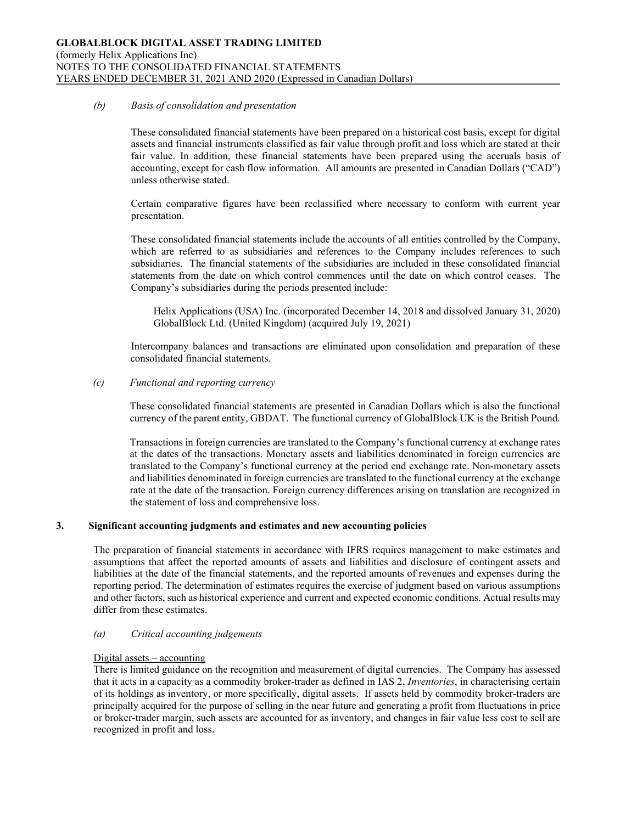### *(b) Basis of consolidation and presentation*

These consolidated financial statements have been prepared on a historical cost basis, except for digital assets and financial instruments classified as fair value through profit and loss which are stated at their fair value. In addition, these financial statements have been prepared using the accruals basis of accounting, except for cash flow information. All amounts are presented in Canadian Dollars ("CAD") unless otherwise stated.

Certain comparative figures have been reclassified where necessary to conform with current year presentation.

These consolidated financial statements include the accounts of all entities controlled by the Company, which are referred to as subsidiaries and references to the Company includes references to such subsidiaries. The financial statements of the subsidiaries are included in these consolidated financial statements from the date on which control commences until the date on which control ceases. The Company's subsidiaries during the periods presented include:

Helix Applications (USA) Inc. (incorporated December 14, 2018 and dissolved January 31, 2020) GlobalBlock Ltd. (United Kingdom) (acquired July 19, 2021)

Intercompany balances and transactions are eliminated upon consolidation and preparation of these consolidated financial statements.

## *(c) Functional and reporting currency*

These consolidated financial statements are presented in Canadian Dollars which is also the functional currency of the parent entity, GBDAT. The functional currency of GlobalBlock UK is the British Pound.

Transactions in foreign currencies are translated to the Company's functional currency at exchange rates at the dates of the transactions. Monetary assets and liabilities denominated in foreign currencies are translated to the Company's functional currency at the period end exchange rate. Non-monetary assets and liabilities denominated in foreign currencies are translated to the functional currency at the exchange rate at the date of the transaction. Foreign currency differences arising on translation are recognized in the statement of loss and comprehensive loss.

# **3. Significant accounting judgments and estimates and new accounting policies**

The preparation of financial statements in accordance with IFRS requires management to make estimates and assumptions that affect the reported amounts of assets and liabilities and disclosure of contingent assets and liabilities at the date of the financial statements, and the reported amounts of revenues and expenses during the reporting period. The determination of estimates requires the exercise of judgment based on various assumptions and other factors, such as historical experience and current and expected economic conditions. Actual results may differ from these estimates.

# *(a) Critical accounting judgements*

### Digital assets – accounting

There is limited guidance on the recognition and measurement of digital currencies. The Company has assessed that it acts in a capacity as a commodity broker-trader as defined in IAS 2, *Inventories*, in characterising certain of its holdings as inventory, or more specifically, digital assets. If assets held by commodity broker-traders are principally acquired for the purpose of selling in the near future and generating a profit from fluctuations in price or broker-trader margin, such assets are accounted for as inventory, and changes in fair value less cost to sell are recognized in profit and loss.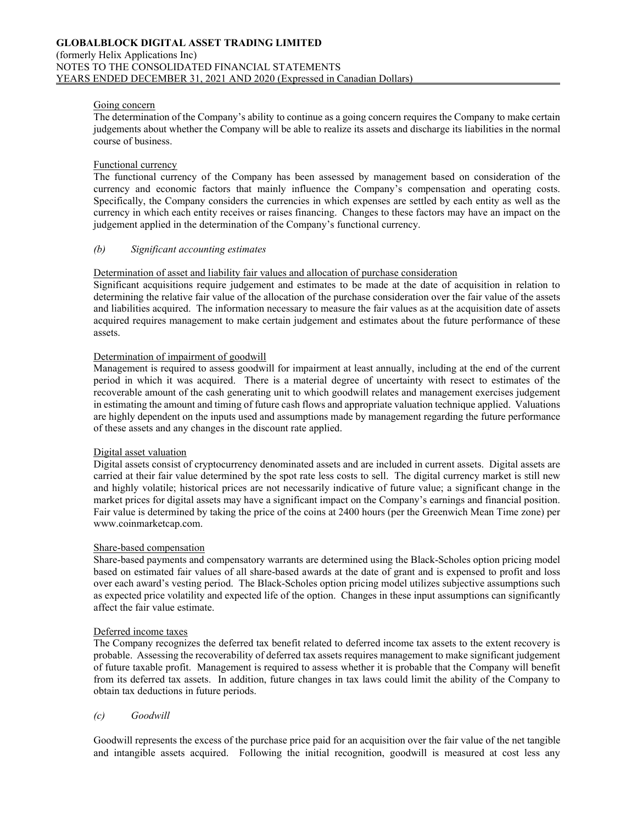### Going concern

The determination of the Company's ability to continue as a going concern requires the Company to make certain judgements about whether the Company will be able to realize its assets and discharge its liabilities in the normal course of business.

## Functional currency

The functional currency of the Company has been assessed by management based on consideration of the currency and economic factors that mainly influence the Company's compensation and operating costs. Specifically, the Company considers the currencies in which expenses are settled by each entity as well as the currency in which each entity receives or raises financing. Changes to these factors may have an impact on the judgement applied in the determination of the Company's functional currency.

## *(b) Significant accounting estimates*

## Determination of asset and liability fair values and allocation of purchase consideration

Significant acquisitions require judgement and estimates to be made at the date of acquisition in relation to determining the relative fair value of the allocation of the purchase consideration over the fair value of the assets and liabilities acquired. The information necessary to measure the fair values as at the acquisition date of assets acquired requires management to make certain judgement and estimates about the future performance of these assets.

## Determination of impairment of goodwill

Management is required to assess goodwill for impairment at least annually, including at the end of the current period in which it was acquired. There is a material degree of uncertainty with resect to estimates of the recoverable amount of the cash generating unit to which goodwill relates and management exercises judgement in estimating the amount and timing of future cash flows and appropriate valuation technique applied. Valuations are highly dependent on the inputs used and assumptions made by management regarding the future performance of these assets and any changes in the discount rate applied.

### Digital asset valuation

Digital assets consist of cryptocurrency denominated assets and are included in current assets. Digital assets are carried at their fair value determined by the spot rate less costs to sell. The digital currency market is still new and highly volatile; historical prices are not necessarily indicative of future value; a significant change in the market prices for digital assets may have a significant impact on the Company's earnings and financial position. Fair value is determined by taking the price of the coins at 2400 hours (per the Greenwich Mean Time zone) per www.coinmarketcap.com.

### Share-based compensation

Share-based payments and compensatory warrants are determined using the Black-Scholes option pricing model based on estimated fair values of all share-based awards at the date of grant and is expensed to profit and loss over each award's vesting period. The Black-Scholes option pricing model utilizes subjective assumptions such as expected price volatility and expected life of the option. Changes in these input assumptions can significantly affect the fair value estimate.

### Deferred income taxes

The Company recognizes the deferred tax benefit related to deferred income tax assets to the extent recovery is probable. Assessing the recoverability of deferred tax assets requires management to make significant judgement of future taxable profit. Management is required to assess whether it is probable that the Company will benefit from its deferred tax assets. In addition, future changes in tax laws could limit the ability of the Company to obtain tax deductions in future periods.

### *(c) Goodwill*

Goodwill represents the excess of the purchase price paid for an acquisition over the fair value of the net tangible and intangible assets acquired. Following the initial recognition, goodwill is measured at cost less any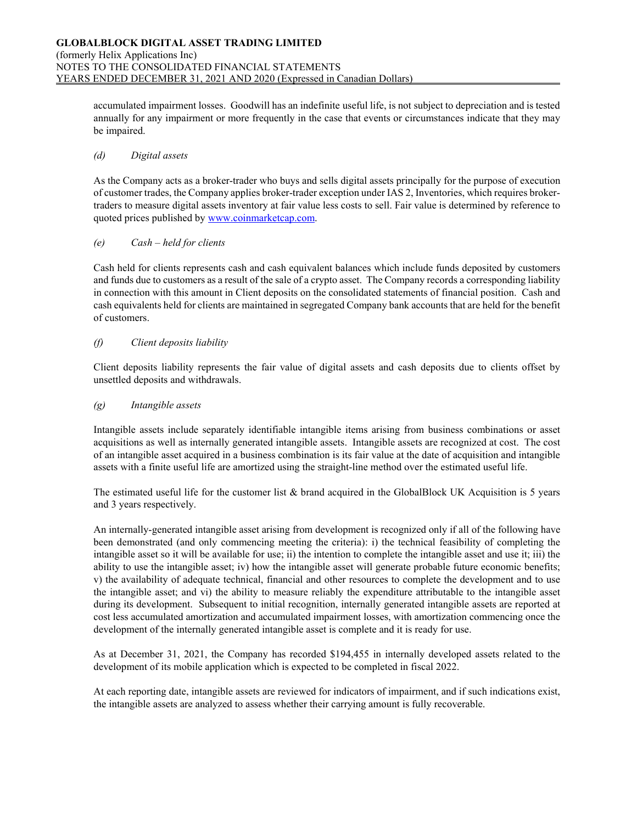accumulated impairment losses. Goodwill has an indefinite useful life, is not subject to depreciation and is tested annually for any impairment or more frequently in the case that events or circumstances indicate that they may be impaired.

# *(d) Digital assets*

As the Company acts as a broker-trader who buys and sells digital assets principally for the purpose of execution of customer trades, the Company applies broker-trader exception under IAS 2, Inventories, which requires brokertraders to measure digital assets inventory at fair value less costs to sell. Fair value is determined by reference to quoted prices published by www.coinmarketcap.com.

# *(e) Cash – held for clients*

Cash held for clients represents cash and cash equivalent balances which include funds deposited by customers and funds due to customers as a result of the sale of a crypto asset. The Company records a corresponding liability in connection with this amount in Client deposits on the consolidated statements of financial position. Cash and cash equivalents held for clients are maintained in segregated Company bank accounts that are held for the benefit of customers.

# *(f) Client deposits liability*

Client deposits liability represents the fair value of digital assets and cash deposits due to clients offset by unsettled deposits and withdrawals.

# *(g) Intangible assets*

Intangible assets include separately identifiable intangible items arising from business combinations or asset acquisitions as well as internally generated intangible assets. Intangible assets are recognized at cost. The cost of an intangible asset acquired in a business combination is its fair value at the date of acquisition and intangible assets with a finite useful life are amortized using the straight-line method over the estimated useful life.

The estimated useful life for the customer list & brand acquired in the GlobalBlock UK Acquisition is 5 years and 3 years respectively.

An internally-generated intangible asset arising from development is recognized only if all of the following have been demonstrated (and only commencing meeting the criteria): i) the technical feasibility of completing the intangible asset so it will be available for use; ii) the intention to complete the intangible asset and use it; iii) the ability to use the intangible asset; iv) how the intangible asset will generate probable future economic benefits; v) the availability of adequate technical, financial and other resources to complete the development and to use the intangible asset; and vi) the ability to measure reliably the expenditure attributable to the intangible asset during its development. Subsequent to initial recognition, internally generated intangible assets are reported at cost less accumulated amortization and accumulated impairment losses, with amortization commencing once the development of the internally generated intangible asset is complete and it is ready for use.

As at December 31, 2021, the Company has recorded \$194,455 in internally developed assets related to the development of its mobile application which is expected to be completed in fiscal 2022.

At each reporting date, intangible assets are reviewed for indicators of impairment, and if such indications exist, the intangible assets are analyzed to assess whether their carrying amount is fully recoverable.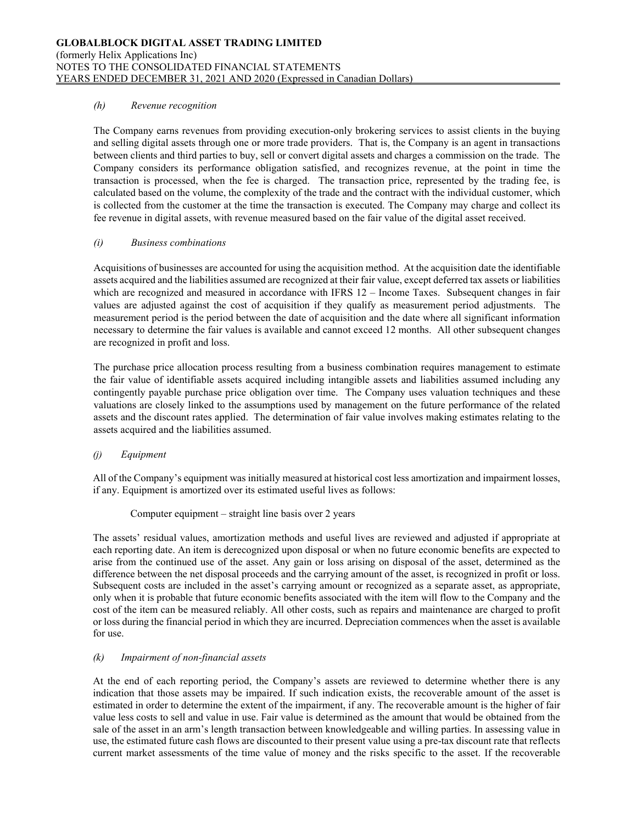# *(h) Revenue recognition*

The Company earns revenues from providing execution-only brokering services to assist clients in the buying and selling digital assets through one or more trade providers. That is, the Company is an agent in transactions between clients and third parties to buy, sell or convert digital assets and charges a commission on the trade. The Company considers its performance obligation satisfied, and recognizes revenue, at the point in time the transaction is processed, when the fee is charged. The transaction price, represented by the trading fee, is calculated based on the volume, the complexity of the trade and the contract with the individual customer, which is collected from the customer at the time the transaction is executed. The Company may charge and collect its fee revenue in digital assets, with revenue measured based on the fair value of the digital asset received.

## *(i) Business combinations*

Acquisitions of businesses are accounted for using the acquisition method. At the acquisition date the identifiable assets acquired and the liabilities assumed are recognized at their fair value, except deferred tax assets or liabilities which are recognized and measured in accordance with IFRS 12 – Income Taxes. Subsequent changes in fair values are adjusted against the cost of acquisition if they qualify as measurement period adjustments. The measurement period is the period between the date of acquisition and the date where all significant information necessary to determine the fair values is available and cannot exceed 12 months. All other subsequent changes are recognized in profit and loss.

The purchase price allocation process resulting from a business combination requires management to estimate the fair value of identifiable assets acquired including intangible assets and liabilities assumed including any contingently payable purchase price obligation over time. The Company uses valuation techniques and these valuations are closely linked to the assumptions used by management on the future performance of the related assets and the discount rates applied. The determination of fair value involves making estimates relating to the assets acquired and the liabilities assumed.

# *(j) Equipment*

All of the Company's equipment was initially measured at historical cost less amortization and impairment losses, if any. Equipment is amortized over its estimated useful lives as follows:

### Computer equipment – straight line basis over 2 years

The assets' residual values, amortization methods and useful lives are reviewed and adjusted if appropriate at each reporting date. An item is derecognized upon disposal or when no future economic benefits are expected to arise from the continued use of the asset. Any gain or loss arising on disposal of the asset, determined as the difference between the net disposal proceeds and the carrying amount of the asset, is recognized in profit or loss. Subsequent costs are included in the asset's carrying amount or recognized as a separate asset, as appropriate, only when it is probable that future economic benefits associated with the item will flow to the Company and the cost of the item can be measured reliably. All other costs, such as repairs and maintenance are charged to profit or loss during the financial period in which they are incurred. Depreciation commences when the asset is available for use.

# *(k) Impairment of non-financial assets*

At the end of each reporting period, the Company's assets are reviewed to determine whether there is any indication that those assets may be impaired. If such indication exists, the recoverable amount of the asset is estimated in order to determine the extent of the impairment, if any. The recoverable amount is the higher of fair value less costs to sell and value in use. Fair value is determined as the amount that would be obtained from the sale of the asset in an arm's length transaction between knowledgeable and willing parties. In assessing value in use, the estimated future cash flows are discounted to their present value using a pre-tax discount rate that reflects current market assessments of the time value of money and the risks specific to the asset. If the recoverable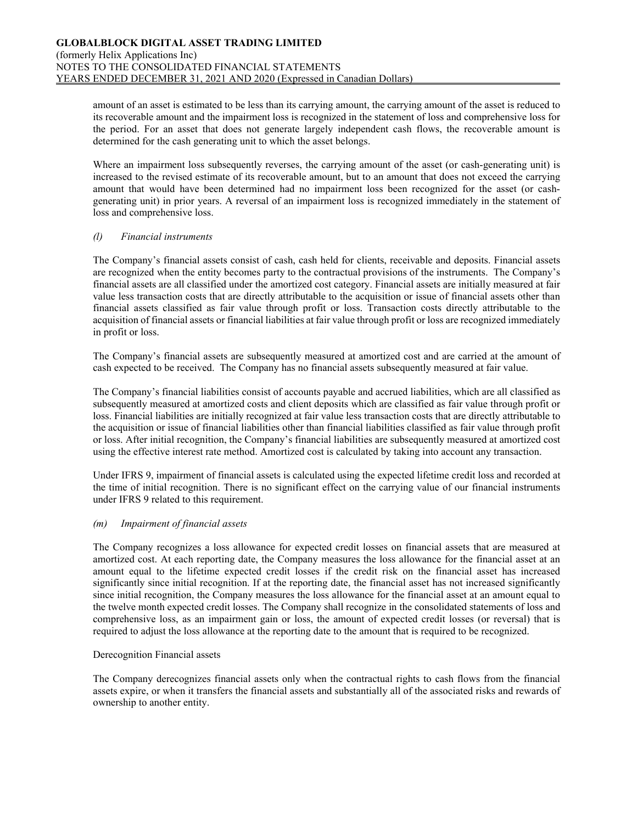amount of an asset is estimated to be less than its carrying amount, the carrying amount of the asset is reduced to its recoverable amount and the impairment loss is recognized in the statement of loss and comprehensive loss for the period. For an asset that does not generate largely independent cash flows, the recoverable amount is determined for the cash generating unit to which the asset belongs.

Where an impairment loss subsequently reverses, the carrying amount of the asset (or cash-generating unit) is increased to the revised estimate of its recoverable amount, but to an amount that does not exceed the carrying amount that would have been determined had no impairment loss been recognized for the asset (or cashgenerating unit) in prior years. A reversal of an impairment loss is recognized immediately in the statement of loss and comprehensive loss.

# *(l) Financial instruments*

The Company's financial assets consist of cash, cash held for clients, receivable and deposits. Financial assets are recognized when the entity becomes party to the contractual provisions of the instruments. The Company's financial assets are all classified under the amortized cost category. Financial assets are initially measured at fair value less transaction costs that are directly attributable to the acquisition or issue of financial assets other than financial assets classified as fair value through profit or loss. Transaction costs directly attributable to the acquisition of financial assets or financial liabilities at fair value through profit or loss are recognized immediately in profit or loss.

The Company's financial assets are subsequently measured at amortized cost and are carried at the amount of cash expected to be received. The Company has no financial assets subsequently measured at fair value.

The Company's financial liabilities consist of accounts payable and accrued liabilities, which are all classified as subsequently measured at amortized costs and client deposits which are classified as fair value through profit or loss. Financial liabilities are initially recognized at fair value less transaction costs that are directly attributable to the acquisition or issue of financial liabilities other than financial liabilities classified as fair value through profit or loss. After initial recognition, the Company's financial liabilities are subsequently measured at amortized cost using the effective interest rate method. Amortized cost is calculated by taking into account any transaction.

Under IFRS 9, impairment of financial assets is calculated using the expected lifetime credit loss and recorded at the time of initial recognition. There is no significant effect on the carrying value of our financial instruments under IFRS 9 related to this requirement.

# *(m) Impairment of financial assets*

The Company recognizes a loss allowance for expected credit losses on financial assets that are measured at amortized cost. At each reporting date, the Company measures the loss allowance for the financial asset at an amount equal to the lifetime expected credit losses if the credit risk on the financial asset has increased significantly since initial recognition. If at the reporting date, the financial asset has not increased significantly since initial recognition, the Company measures the loss allowance for the financial asset at an amount equal to the twelve month expected credit losses. The Company shall recognize in the consolidated statements of loss and comprehensive loss, as an impairment gain or loss, the amount of expected credit losses (or reversal) that is required to adjust the loss allowance at the reporting date to the amount that is required to be recognized.

# Derecognition Financial assets

The Company derecognizes financial assets only when the contractual rights to cash flows from the financial assets expire, or when it transfers the financial assets and substantially all of the associated risks and rewards of ownership to another entity.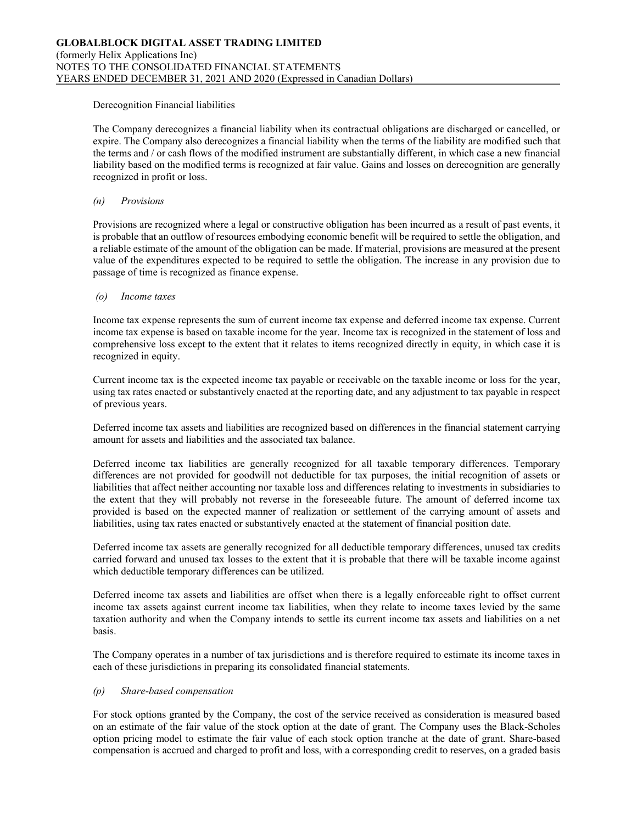### Derecognition Financial liabilities

The Company derecognizes a financial liability when its contractual obligations are discharged or cancelled, or expire. The Company also derecognizes a financial liability when the terms of the liability are modified such that the terms and / or cash flows of the modified instrument are substantially different, in which case a new financial liability based on the modified terms is recognized at fair value. Gains and losses on derecognition are generally recognized in profit or loss.

## *(n) Provisions*

Provisions are recognized where a legal or constructive obligation has been incurred as a result of past events, it is probable that an outflow of resources embodying economic benefit will be required to settle the obligation, and a reliable estimate of the amount of the obligation can be made. If material, provisions are measured at the present value of the expenditures expected to be required to settle the obligation. The increase in any provision due to passage of time is recognized as finance expense.

## *(o) Income taxes*

Income tax expense represents the sum of current income tax expense and deferred income tax expense. Current income tax expense is based on taxable income for the year. Income tax is recognized in the statement of loss and comprehensive loss except to the extent that it relates to items recognized directly in equity, in which case it is recognized in equity.

Current income tax is the expected income tax payable or receivable on the taxable income or loss for the year, using tax rates enacted or substantively enacted at the reporting date, and any adjustment to tax payable in respect of previous years.

Deferred income tax assets and liabilities are recognized based on differences in the financial statement carrying amount for assets and liabilities and the associated tax balance.

Deferred income tax liabilities are generally recognized for all taxable temporary differences. Temporary differences are not provided for goodwill not deductible for tax purposes, the initial recognition of assets or liabilities that affect neither accounting nor taxable loss and differences relating to investments in subsidiaries to the extent that they will probably not reverse in the foreseeable future. The amount of deferred income tax provided is based on the expected manner of realization or settlement of the carrying amount of assets and liabilities, using tax rates enacted or substantively enacted at the statement of financial position date.

Deferred income tax assets are generally recognized for all deductible temporary differences, unused tax credits carried forward and unused tax losses to the extent that it is probable that there will be taxable income against which deductible temporary differences can be utilized.

Deferred income tax assets and liabilities are offset when there is a legally enforceable right to offset current income tax assets against current income tax liabilities, when they relate to income taxes levied by the same taxation authority and when the Company intends to settle its current income tax assets and liabilities on a net basis.

The Company operates in a number of tax jurisdictions and is therefore required to estimate its income taxes in each of these jurisdictions in preparing its consolidated financial statements.

# *(p) Share-based compensation*

For stock options granted by the Company, the cost of the service received as consideration is measured based on an estimate of the fair value of the stock option at the date of grant. The Company uses the Black-Scholes option pricing model to estimate the fair value of each stock option tranche at the date of grant. Share-based compensation is accrued and charged to profit and loss, with a corresponding credit to reserves, on a graded basis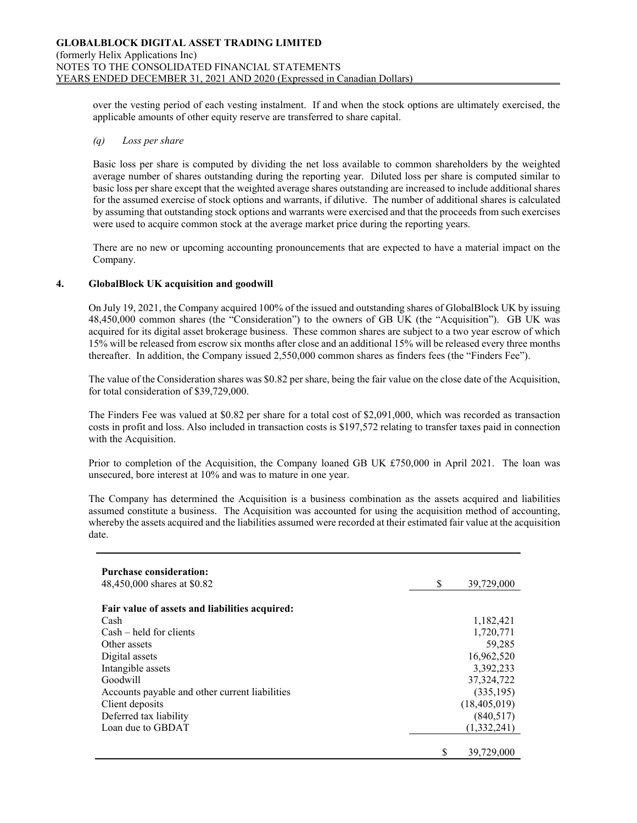over the vesting period of each vesting instalment. If and when the stock options are ultimately exercised, the applicable amounts of other equity reserve are transferred to share capital.

### *(q) Loss per share*

Basic loss per share is computed by dividing the net loss available to common shareholders by the weighted average number of shares outstanding during the reporting year. Diluted loss per share is computed similar to basic loss per share except that the weighted average shares outstanding are increased to include additional shares for the assumed exercise of stock options and warrants, if dilutive. The number of additional shares is calculated by assuming that outstanding stock options and warrants were exercised and that the proceeds from such exercises were used to acquire common stock at the average market price during the reporting years.

There are no new or upcoming accounting pronouncements that are expected to have a material impact on the Company.

# **4. GlobalBlock UK acquisition and goodwill**

On July 19, 2021, the Company acquired 100% of the issued and outstanding shares of GlobalBlock UK by issuing 48,450,000 common shares (the "Consideration") to the owners of GB UK (the "Acquisition"). GB UK was acquired for its digital asset brokerage business. These common shares are subject to a two year escrow of which 15% will be released from escrow six months after close and an additional 15% will be released every three months thereafter. In addition, the Company issued 2,550,000 common shares as finders fees (the "Finders Fee").

The value of the Consideration shares was \$0.82 per share, being the fair value on the close date of the Acquisition, for total consideration of \$39,729,000.

The Finders Fee was valued at \$0.82 per share for a total cost of \$2,091,000, which was recorded as transaction costs in profit and loss. Also included in transaction costs is \$197,572 relating to transfer taxes paid in connection with the Acquisition.

Prior to completion of the Acquisition, the Company loaned GB UK £750,000 in April 2021. The loan was unsecured, bore interest at 10% and was to mature in one year.

The Company has determined the Acquisition is a business combination as the assets acquired and liabilities assumed constitute a business. The Acquisition was accounted for using the acquisition method of accounting, whereby the assets acquired and the liabilities assumed were recorded at their estimated fair value at the acquisition date.

| <b>Purchase consideration:</b>                 |    |                |
|------------------------------------------------|----|----------------|
| 48,450,000 shares at \$0.82                    | \$ | 39,729,000     |
| Fair value of assets and liabilities acquired: |    |                |
|                                                |    |                |
| Cash                                           |    | 1,182,421      |
| $Cash - held for clients$                      |    | 1,720,771      |
| Other assets                                   |    | 59.285         |
| Digital assets                                 |    | 16,962,520     |
| Intangible assets                              |    | 3,392,233      |
| Goodwill                                       |    | 37, 324, 722   |
| Accounts payable and other current liabilities |    | (335, 195)     |
| Client deposits                                |    | (18, 405, 019) |
| Deferred tax liability                         |    | (840,517)      |
| Loan due to GBDAT                              |    | (1,332,241)    |
|                                                |    |                |
|                                                | S  | 39,729,000     |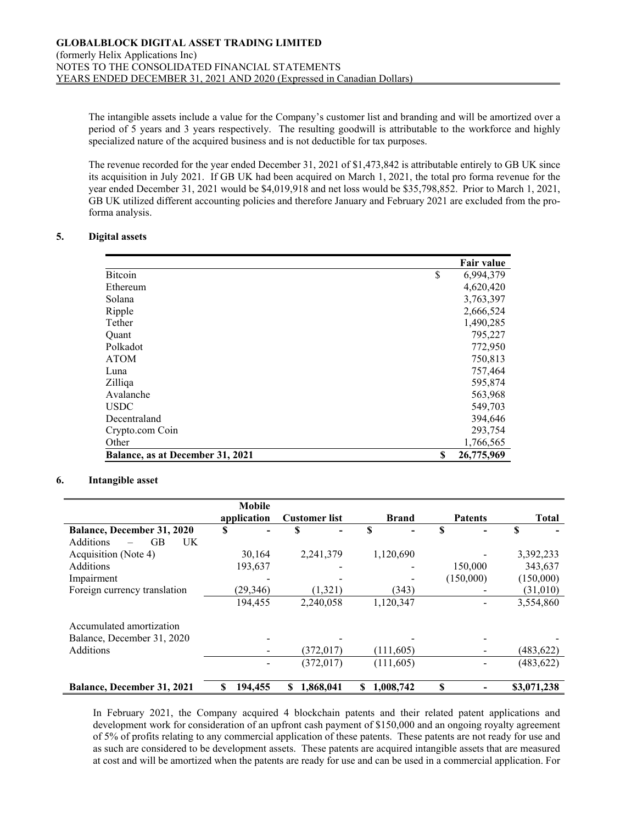The intangible assets include a value for the Company's customer list and branding and will be amortized over a period of 5 years and 3 years respectively. The resulting goodwill is attributable to the workforce and highly specialized nature of the acquired business and is not deductible for tax purposes.

The revenue recorded for the year ended December 31, 2021 of \$1,473,842 is attributable entirely to GB UK since its acquisition in July 2021. If GB UK had been acquired on March 1, 2021, the total pro forma revenue for the year ended December 31, 2021 would be \$4,019,918 and net loss would be \$35,798,852. Prior to March 1, 2021, GB UK utilized different accounting policies and therefore January and February 2021 are excluded from the proforma analysis.

### **5. Digital assets**

|                                         | Fair value       |
|-----------------------------------------|------------------|
| Bitcoin                                 | \$<br>6,994,379  |
| Ethereum                                | 4,620,420        |
| Solana                                  | 3,763,397        |
| Ripple                                  | 2,666,524        |
| Tether                                  | 1,490,285        |
| Quant                                   | 795,227          |
| Polkadot                                | 772,950          |
| ATOM                                    | 750,813          |
| Luna                                    | 757,464          |
| Zilliqa                                 | 595,874          |
| Avalanche                               | 563,968          |
| USDC                                    | 549,703          |
| Decentraland                            | 394,646          |
| Crypto.com Coin                         | 293,754          |
| Other                                   | 1,766,565        |
| <b>Balance, as at December 31, 2021</b> | \$<br>26,775,969 |

# **6. Intangible asset**

|                                      | <b>Mobile</b> |                      |                |                |              |
|--------------------------------------|---------------|----------------------|----------------|----------------|--------------|
|                                      | application   | <b>Customer list</b> | <b>Brand</b>   | <b>Patents</b> | <b>Total</b> |
| <b>Balance, December 31, 2020</b>    | \$            |                      | \$             | S              | S            |
| <b>Additions</b><br><b>GB</b><br>UK. |               |                      |                |                |              |
| Acquisition (Note 4)                 | 30,164        | 2,241,379            | 1,120,690      |                | 3,392,233    |
| <b>Additions</b>                     | 193,637       |                      |                | 150,000        | 343,637      |
| Impairment                           |               |                      |                | (150,000)      | (150,000)    |
| Foreign currency translation         | (29, 346)     | (1,321)              | (343)          |                | (31,010)     |
|                                      | 194,455       | 2,240,058            | 1,120,347      |                | 3,554,860    |
| Accumulated amortization             |               |                      |                |                |              |
| Balance, December 31, 2020           |               |                      |                |                |              |
| <b>Additions</b>                     |               | (372, 017)           | (111.605)      |                | (483,622)    |
|                                      |               | (372, 017)           | (111,605)      |                | (483, 622)   |
| <b>Balance, December 31, 2021</b>    | 194,455<br>\$ | 1.868,041<br>S       | 1,008,742<br>S | S              | \$3,071,238  |

In February 2021, the Company acquired 4 blockchain patents and their related patent applications and development work for consideration of an upfront cash payment of \$150,000 and an ongoing royalty agreement of 5% of profits relating to any commercial application of these patents. These patents are not ready for use and as such are considered to be development assets. These patents are acquired intangible assets that are measured at cost and will be amortized when the patents are ready for use and can be used in a commercial application. For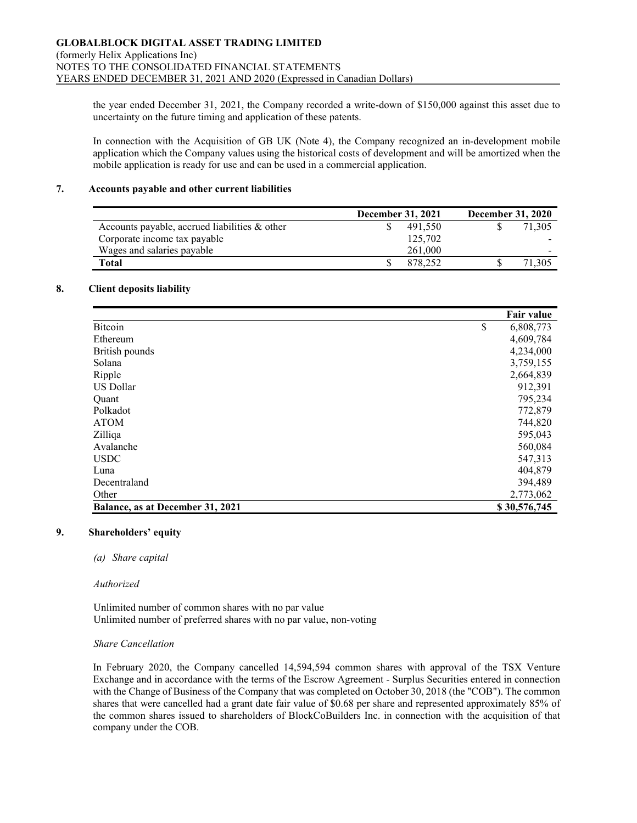the year ended December 31, 2021, the Company recorded a write-down of \$150,000 against this asset due to uncertainty on the future timing and application of these patents.

In connection with the Acquisition of GB UK (Note 4), the Company recognized an in-development mobile application which the Company values using the historical costs of development and will be amortized when the mobile application is ready for use and can be used in a commercial application.

## **7. Accounts payable and other current liabilities**

|                                                  | December 31, 2021 |         | <b>December 31, 2020</b> |
|--------------------------------------------------|-------------------|---------|--------------------------|
| Accounts payable, accrued liabilities $\&$ other |                   | 491,550 | 71,305                   |
| Corporate income tax payable                     |                   | 125,702 |                          |
| Wages and salaries payable                       |                   | 261,000 |                          |
| Total                                            |                   | 878,252 | '1.305                   |

## **8. Client deposits liability**

|                                  | Fair value      |
|----------------------------------|-----------------|
| <b>Bitcoin</b>                   | \$<br>6,808,773 |
| Ethereum                         | 4,609,784       |
| British pounds                   | 4,234,000       |
| Solana                           | 3,759,155       |
| Ripple                           | 2,664,839       |
| <b>US Dollar</b>                 | 912,391         |
| Quant                            | 795,234         |
| Polkadot                         | 772,879         |
| <b>ATOM</b>                      | 744,820         |
| Zilliqa                          | 595,043         |
| Avalanche                        | 560,084         |
| <b>USDC</b>                      | 547,313         |
| Luna                             | 404,879         |
| Decentraland                     | 394,489         |
| Other                            | 2,773,062       |
| Balance, as at December 31, 2021 | \$30,576,745    |

### **9. Shareholders' equity**

### *(a) Share capital*

#### *Authorized*

Unlimited number of common shares with no par value Unlimited number of preferred shares with no par value, non-voting

### *Share Cancellation*

In February 2020, the Company cancelled 14,594,594 common shares with approval of the TSX Venture Exchange and in accordance with the terms of the Escrow Agreement - Surplus Securities entered in connection with the Change of Business of the Company that was completed on October 30, 2018 (the "COB"). The common shares that were cancelled had a grant date fair value of \$0.68 per share and represented approximately 85% of the common shares issued to shareholders of BlockCoBuilders Inc. in connection with the acquisition of that company under the COB.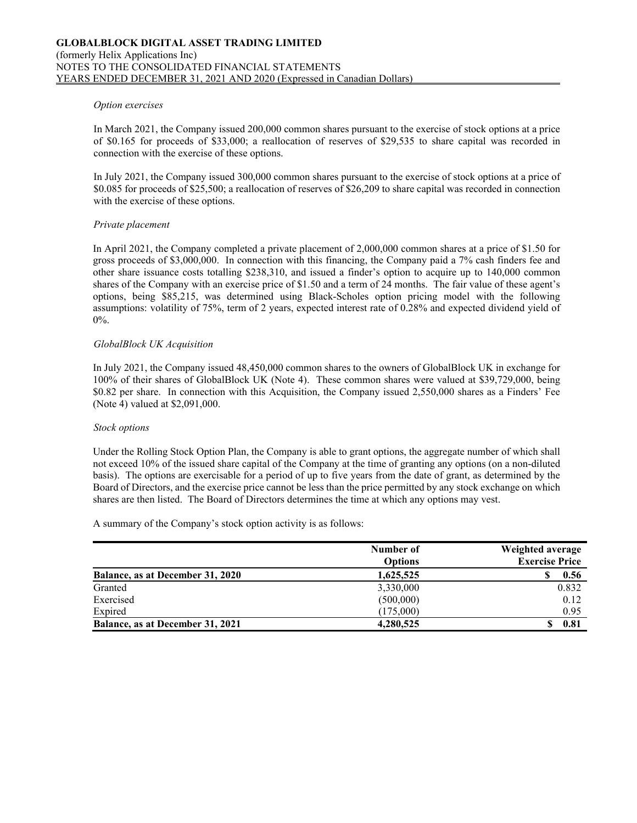### *Option exercises*

In March 2021, the Company issued 200,000 common shares pursuant to the exercise of stock options at a price of \$0.165 for proceeds of \$33,000; a reallocation of reserves of \$29,535 to share capital was recorded in connection with the exercise of these options.

In July 2021, the Company issued 300,000 common shares pursuant to the exercise of stock options at a price of \$0.085 for proceeds of \$25,500; a reallocation of reserves of \$26,209 to share capital was recorded in connection with the exercise of these options.

### *Private placement*

In April 2021, the Company completed a private placement of 2,000,000 common shares at a price of \$1.50 for gross proceeds of \$3,000,000. In connection with this financing, the Company paid a 7% cash finders fee and other share issuance costs totalling \$238,310, and issued a finder's option to acquire up to 140,000 common shares of the Company with an exercise price of \$1.50 and a term of 24 months. The fair value of these agent's options, being \$85,215, was determined using Black-Scholes option pricing model with the following assumptions: volatility of 75%, term of 2 years, expected interest rate of 0.28% and expected dividend yield of 0%.

# *GlobalBlock UK Acquisition*

In July 2021, the Company issued 48,450,000 common shares to the owners of GlobalBlock UK in exchange for 100% of their shares of GlobalBlock UK (Note 4). These common shares were valued at \$39,729,000, being \$0.82 per share. In connection with this Acquisition, the Company issued 2,550,000 shares as a Finders' Fee (Note 4) valued at \$2,091,000.

### *Stock options*

Under the Rolling Stock Option Plan, the Company is able to grant options, the aggregate number of which shall not exceed 10% of the issued share capital of the Company at the time of granting any options (on a non-diluted basis). The options are exercisable for a period of up to five years from the date of grant, as determined by the Board of Directors, and the exercise price cannot be less than the price permitted by any stock exchange on which shares are then listed. The Board of Directors determines the time at which any options may vest.

A summary of the Company's stock option activity is as follows:

|                                  | Number of      | Weighted average      |
|----------------------------------|----------------|-----------------------|
|                                  | <b>Options</b> | <b>Exercise Price</b> |
| Balance, as at December 31, 2020 | 1,625,525      | 0.56                  |
| Granted                          | 3,330,000      | 0.832                 |
| Exercised                        | (500,000)      | 0.12                  |
| Expired                          | (175,000)      | 0.95                  |
| Balance, as at December 31, 2021 | 4,280,525      | 0.81                  |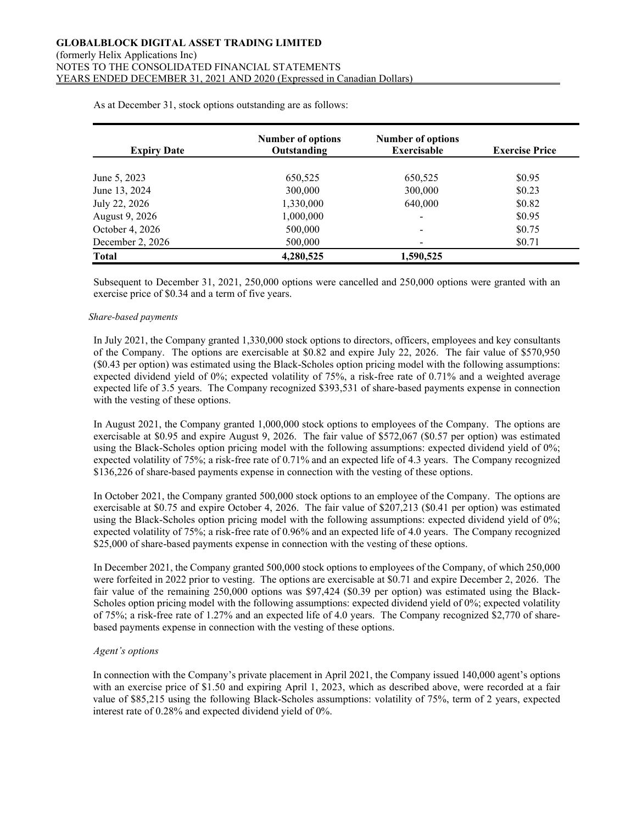| <b>Expiry Date</b> | Number of options<br>Outstanding | <b>Number of options</b><br><b>Exercisable</b> | <b>Exercise Price</b> |
|--------------------|----------------------------------|------------------------------------------------|-----------------------|
| June 5, 2023       | 650,525                          | 650,525                                        | \$0.95                |
| June 13, 2024      | 300,000                          | 300,000                                        | \$0.23                |
| July 22, 2026      | 1,330,000                        | 640,000                                        | \$0.82                |
| August 9, 2026     | 1,000,000                        | $\overline{\phantom{a}}$                       | \$0.95                |
| October 4, 2026    | 500,000                          | $\overline{\phantom{a}}$                       | \$0.75                |
| December 2, 2026   | 500,000                          | $\overline{\phantom{a}}$                       | \$0.71                |
| <b>Total</b>       | 4,280,525                        | 1,590,525                                      |                       |

As at December 31, stock options outstanding are as follows:

Subsequent to December 31, 2021, 250,000 options were cancelled and 250,000 options were granted with an exercise price of \$0.34 and a term of five years.

#### *Share-based payments*

In July 2021, the Company granted 1,330,000 stock options to directors, officers, employees and key consultants of the Company. The options are exercisable at \$0.82 and expire July 22, 2026. The fair value of \$570,950 (\$0.43 per option) was estimated using the Black-Scholes option pricing model with the following assumptions: expected dividend yield of 0%; expected volatility of 75%, a risk-free rate of 0.71% and a weighted average expected life of 3.5 years. The Company recognized \$393,531 of share-based payments expense in connection with the vesting of these options.

In August 2021, the Company granted 1,000,000 stock options to employees of the Company. The options are exercisable at \$0.95 and expire August 9, 2026. The fair value of \$572,067 (\$0.57 per option) was estimated using the Black-Scholes option pricing model with the following assumptions: expected dividend yield of 0%; expected volatility of 75%; a risk-free rate of 0.71% and an expected life of 4.3 years. The Company recognized \$136,226 of share-based payments expense in connection with the vesting of these options.

In October 2021, the Company granted 500,000 stock options to an employee of the Company. The options are exercisable at \$0.75 and expire October 4, 2026. The fair value of \$207,213 (\$0.41 per option) was estimated using the Black-Scholes option pricing model with the following assumptions: expected dividend yield of 0%; expected volatility of 75%; a risk-free rate of 0.96% and an expected life of 4.0 years. The Company recognized \$25,000 of share-based payments expense in connection with the vesting of these options.

In December 2021, the Company granted 500,000 stock options to employees of the Company, of which 250,000 were forfeited in 2022 prior to vesting. The options are exercisable at \$0.71 and expire December 2, 2026. The fair value of the remaining 250,000 options was \$97,424 (\$0.39 per option) was estimated using the Black-Scholes option pricing model with the following assumptions: expected dividend yield of 0%; expected volatility of 75%; a risk-free rate of 1.27% and an expected life of 4.0 years. The Company recognized \$2,770 of sharebased payments expense in connection with the vesting of these options.

### *Agent's options*

In connection with the Company's private placement in April 2021, the Company issued 140,000 agent's options with an exercise price of \$1.50 and expiring April 1, 2023, which as described above, were recorded at a fair value of \$85,215 using the following Black-Scholes assumptions: volatility of 75%, term of 2 years, expected interest rate of 0.28% and expected dividend yield of 0%.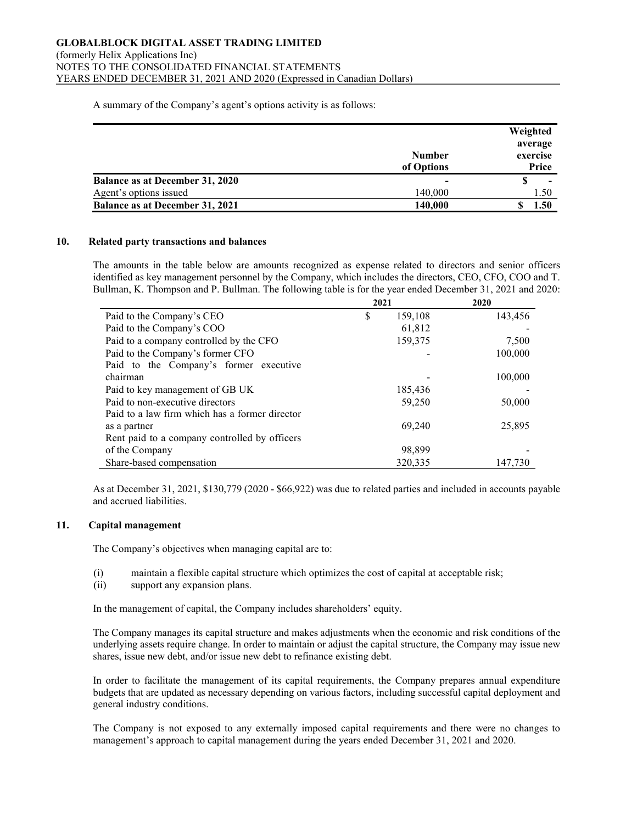A summary of the Company's agent's options activity is as follows:

|                                        | <b>Number</b> | Weighted<br>average<br>exercise |  |
|----------------------------------------|---------------|---------------------------------|--|
|                                        | of Options    | Price                           |  |
| <b>Balance as at December 31, 2020</b> | -             | -                               |  |
| Agent's options issued                 | 140,000       | 1.50                            |  |
| <b>Balance as at December 31, 2021</b> | 140,000       | 1.50                            |  |

### **10. Related party transactions and balances**

The amounts in the table below are amounts recognized as expense related to directors and senior officers identified as key management personnel by the Company, which includes the directors, CEO, CFO, COO and T. Bullman, K. Thompson and P. Bullman. The following table is for the year ended December 31, 2021 and 2020:

| 2021                                           |               | 2020    |  |  |
|------------------------------------------------|---------------|---------|--|--|
| Paid to the Company's CEO                      | \$<br>159,108 | 143,456 |  |  |
| Paid to the Company's COO                      | 61,812        |         |  |  |
| Paid to a company controlled by the CFO        | 159,375       | 7,500   |  |  |
| Paid to the Company's former CFO               |               | 100,000 |  |  |
| Paid to the Company's former executive         |               |         |  |  |
| chairman                                       |               | 100,000 |  |  |
| Paid to key management of GB UK                | 185,436       |         |  |  |
| Paid to non-executive directors                | 59,250        | 50,000  |  |  |
| Paid to a law firm which has a former director |               |         |  |  |
| as a partner                                   | 69,240        | 25,895  |  |  |
| Rent paid to a company controlled by officers  |               |         |  |  |
| of the Company                                 | 98,899        |         |  |  |
| Share-based compensation                       | 320,335       | 147,730 |  |  |

As at December 31, 2021, \$130,779 (2020 - \$66,922) was due to related parties and included in accounts payable and accrued liabilities.

# **11. Capital management**

The Company's objectives when managing capital are to:

- (i) maintain a flexible capital structure which optimizes the cost of capital at acceptable risk;
- (ii) support any expansion plans.

In the management of capital, the Company includes shareholders' equity.

The Company manages its capital structure and makes adjustments when the economic and risk conditions of the underlying assets require change. In order to maintain or adjust the capital structure, the Company may issue new shares, issue new debt, and/or issue new debt to refinance existing debt.

In order to facilitate the management of its capital requirements, the Company prepares annual expenditure budgets that are updated as necessary depending on various factors, including successful capital deployment and general industry conditions.

The Company is not exposed to any externally imposed capital requirements and there were no changes to management's approach to capital management during the years ended December 31, 2021 and 2020.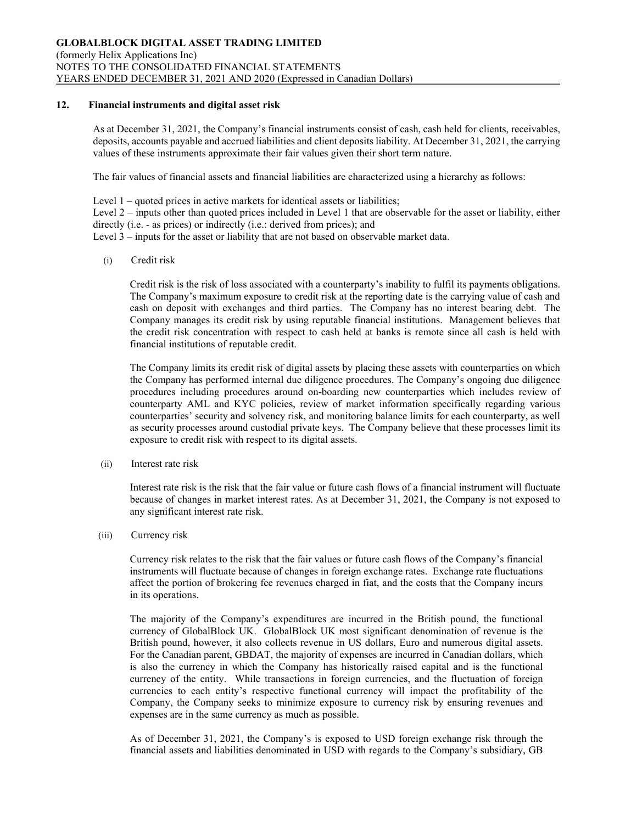### **12. Financial instruments and digital asset risk**

As at December 31, 2021, the Company's financial instruments consist of cash, cash held for clients, receivables, deposits, accounts payable and accrued liabilities and client deposits liability. At December 31, 2021, the carrying values of these instruments approximate their fair values given their short term nature.

The fair values of financial assets and financial liabilities are characterized using a hierarchy as follows:

Level 1 – quoted prices in active markets for identical assets or liabilities; Level 2 – inputs other than quoted prices included in Level 1 that are observable for the asset or liability, either directly (i.e. - as prices) or indirectly (i.e.: derived from prices); and Level 3 – inputs for the asset or liability that are not based on observable market data.

(i) Credit risk

Credit risk is the risk of loss associated with a counterparty's inability to fulfil its payments obligations. The Company's maximum exposure to credit risk at the reporting date is the carrying value of cash and cash on deposit with exchanges and third parties. The Company has no interest bearing debt. The Company manages its credit risk by using reputable financial institutions. Management believes that the credit risk concentration with respect to cash held at banks is remote since all cash is held with financial institutions of reputable credit.

The Company limits its credit risk of digital assets by placing these assets with counterparties on which the Company has performed internal due diligence procedures. The Company's ongoing due diligence procedures including procedures around on-boarding new counterparties which includes review of counterparty AML and KYC policies, review of market information specifically regarding various counterparties' security and solvency risk, and monitoring balance limits for each counterparty, as well as security processes around custodial private keys. The Company believe that these processes limit its exposure to credit risk with respect to its digital assets.

(ii) Interest rate risk

Interest rate risk is the risk that the fair value or future cash flows of a financial instrument will fluctuate because of changes in market interest rates. As at December 31, 2021, the Company is not exposed to any significant interest rate risk.

(iii) Currency risk

Currency risk relates to the risk that the fair values or future cash flows of the Company's financial instruments will fluctuate because of changes in foreign exchange rates. Exchange rate fluctuations affect the portion of brokering fee revenues charged in fiat, and the costs that the Company incurs in its operations.

The majority of the Company's expenditures are incurred in the British pound, the functional currency of GlobalBlock UK. GlobalBlock UK most significant denomination of revenue is the British pound, however, it also collects revenue in US dollars, Euro and numerous digital assets. For the Canadian parent, GBDAT, the majority of expenses are incurred in Canadian dollars, which is also the currency in which the Company has historically raised capital and is the functional currency of the entity. While transactions in foreign currencies, and the fluctuation of foreign currencies to each entity's respective functional currency will impact the profitability of the Company, the Company seeks to minimize exposure to currency risk by ensuring revenues and expenses are in the same currency as much as possible.

As of December 31, 2021, the Company's is exposed to USD foreign exchange risk through the financial assets and liabilities denominated in USD with regards to the Company's subsidiary, GB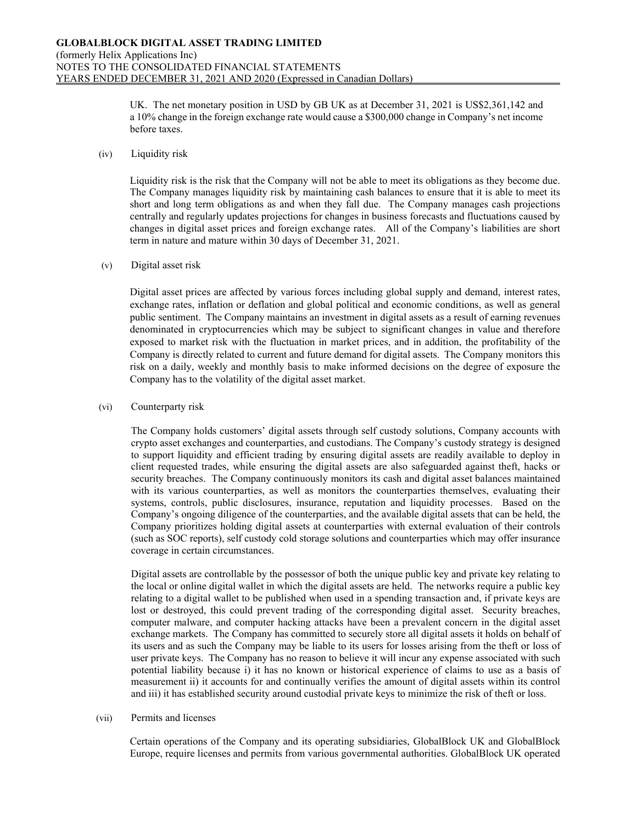UK. The net monetary position in USD by GB UK as at December 31, 2021 is US\$2,361,142 and a 10% change in the foreign exchange rate would cause a \$300,000 change in Company's net income before taxes.

### (iv) Liquidity risk

Liquidity risk is the risk that the Company will not be able to meet its obligations as they become due. The Company manages liquidity risk by maintaining cash balances to ensure that it is able to meet its short and long term obligations as and when they fall due. The Company manages cash projections centrally and regularly updates projections for changes in business forecasts and fluctuations caused by changes in digital asset prices and foreign exchange rates. All of the Company's liabilities are short term in nature and mature within 30 days of December 31, 2021.

## (v) Digital asset risk

Digital asset prices are affected by various forces including global supply and demand, interest rates, exchange rates, inflation or deflation and global political and economic conditions, as well as general public sentiment. The Company maintains an investment in digital assets as a result of earning revenues denominated in cryptocurrencies which may be subject to significant changes in value and therefore exposed to market risk with the fluctuation in market prices, and in addition, the profitability of the Company is directly related to current and future demand for digital assets. The Company monitors this risk on a daily, weekly and monthly basis to make informed decisions on the degree of exposure the Company has to the volatility of the digital asset market.

### (vi) Counterparty risk

The Company holds customers' digital assets through self custody solutions, Company accounts with crypto asset exchanges and counterparties, and custodians. The Company's custody strategy is designed to support liquidity and efficient trading by ensuring digital assets are readily available to deploy in client requested trades, while ensuring the digital assets are also safeguarded against theft, hacks or security breaches. The Company continuously monitors its cash and digital asset balances maintained with its various counterparties, as well as monitors the counterparties themselves, evaluating their systems, controls, public disclosures, insurance, reputation and liquidity processes. Based on the Company's ongoing diligence of the counterparties, and the available digital assets that can be held, the Company prioritizes holding digital assets at counterparties with external evaluation of their controls (such as SOC reports), self custody cold storage solutions and counterparties which may offer insurance coverage in certain circumstances.

Digital assets are controllable by the possessor of both the unique public key and private key relating to the local or online digital wallet in which the digital assets are held. The networks require a public key relating to a digital wallet to be published when used in a spending transaction and, if private keys are lost or destroyed, this could prevent trading of the corresponding digital asset. Security breaches, computer malware, and computer hacking attacks have been a prevalent concern in the digital asset exchange markets. The Company has committed to securely store all digital assets it holds on behalf of its users and as such the Company may be liable to its users for losses arising from the theft or loss of user private keys. The Company has no reason to believe it will incur any expense associated with such potential liability because i) it has no known or historical experience of claims to use as a basis of measurement ii) it accounts for and continually verifies the amount of digital assets within its control and iii) it has established security around custodial private keys to minimize the risk of theft or loss.

### (vii) Permits and licenses

Certain operations of the Company and its operating subsidiaries, GlobalBlock UK and GlobalBlock Europe, require licenses and permits from various governmental authorities. GlobalBlock UK operated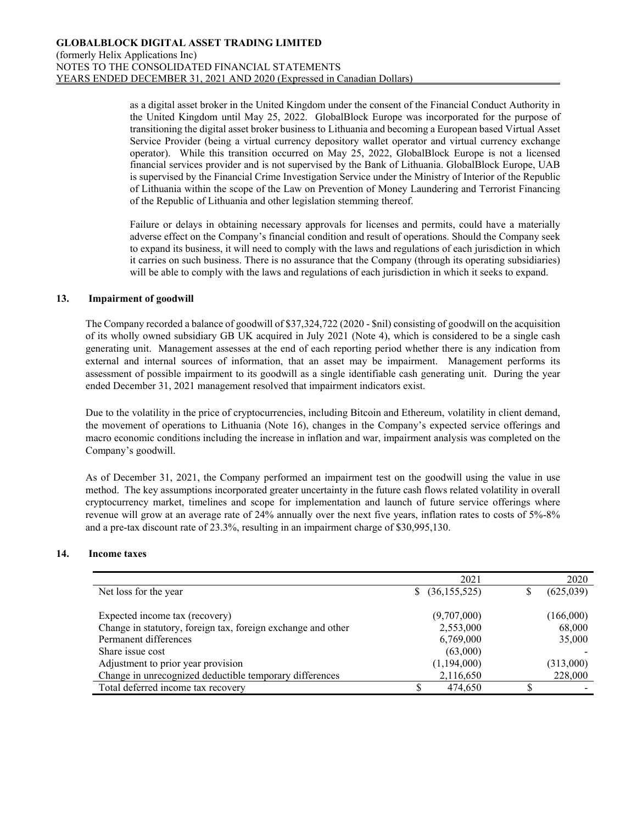as a digital asset broker in the United Kingdom under the consent of the Financial Conduct Authority in the United Kingdom until May 25, 2022. GlobalBlock Europe was incorporated for the purpose of transitioning the digital asset broker business to Lithuania and becoming a European based Virtual Asset Service Provider (being a virtual currency depository wallet operator and virtual currency exchange operator). While this transition occurred on May 25, 2022, GlobalBlock Europe is not a licensed financial services provider and is not supervised by the Bank of Lithuania. GlobalBlock Europe, UAB is supervised by the Financial Crime Investigation Service under the Ministry of Interior of the Republic of Lithuania within the scope of the Law on Prevention of Money Laundering and Terrorist Financing of the Republic of Lithuania and other legislation stemming thereof.

Failure or delays in obtaining necessary approvals for licenses and permits, could have a materially adverse effect on the Company's financial condition and result of operations. Should the Company seek to expand its business, it will need to comply with the laws and regulations of each jurisdiction in which it carries on such business. There is no assurance that the Company (through its operating subsidiaries) will be able to comply with the laws and regulations of each jurisdiction in which it seeks to expand.

## **13. Impairment of goodwill**

The Company recorded a balance of goodwill of \$37,324,722 (2020 - \$nil) consisting of goodwill on the acquisition of its wholly owned subsidiary GB UK acquired in July 2021 (Note 4), which is considered to be a single cash generating unit. Management assesses at the end of each reporting period whether there is any indication from external and internal sources of information, that an asset may be impairment. Management performs its assessment of possible impairment to its goodwill as a single identifiable cash generating unit. During the year ended December 31, 2021 management resolved that impairment indicators exist.

Due to the volatility in the price of cryptocurrencies, including Bitcoin and Ethereum, volatility in client demand, the movement of operations to Lithuania (Note 16), changes in the Company's expected service offerings and macro economic conditions including the increase in inflation and war, impairment analysis was completed on the Company's goodwill.

As of December 31, 2021, the Company performed an impairment test on the goodwill using the value in use method. The key assumptions incorporated greater uncertainty in the future cash flows related volatility in overall cryptocurrency market, timelines and scope for implementation and launch of future service offerings where revenue will grow at an average rate of 24% annually over the next five years, inflation rates to costs of 5%-8% and a pre-tax discount rate of 23.3%, resulting in an impairment charge of \$30,995,130.

### **14. Income taxes**

|                                                              | 2021                 | 2020       |
|--------------------------------------------------------------|----------------------|------------|
| Net loss for the year                                        | (36, 155, 525)<br>S. | (625, 039) |
| Expected income tax (recovery)                               | (9,707,000)          | (166,000)  |
| Change in statutory, foreign tax, foreign exchange and other | 2,553,000            | 68,000     |
| Permanent differences                                        | 6,769,000            | 35,000     |
| Share issue cost                                             | (63,000)             |            |
| Adjustment to prior year provision                           | (1,194,000)          | (313,000)  |
| Change in unrecognized deductible temporary differences      | 2,116,650            | 228,000    |
| Total deferred income tax recovery                           | 474,650              |            |